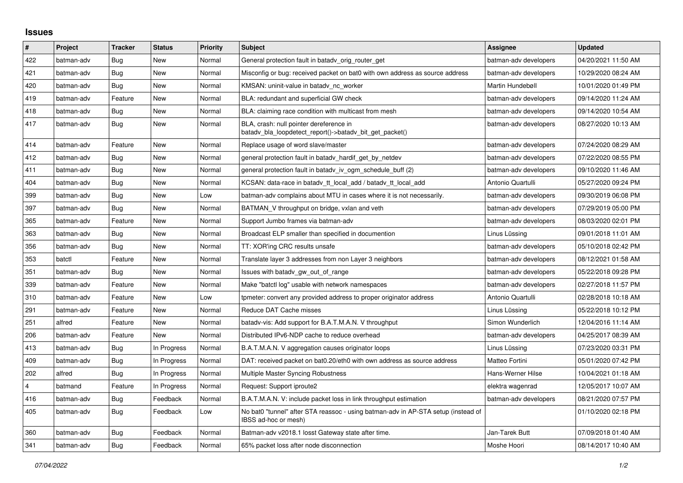## **Issues**

| $\vert$ # | Project    | <b>Tracker</b> | <b>Status</b> | <b>Priority</b> | <b>Subject</b>                                                                                            | Assignee              | <b>Updated</b>      |
|-----------|------------|----------------|---------------|-----------------|-----------------------------------------------------------------------------------------------------------|-----------------------|---------------------|
| 422       | batman-adv | Bug            | New           | Normal          | General protection fault in batady orig router get                                                        | batman-adv developers | 04/20/2021 11:50 AM |
| 421       | batman-adv | Bug            | New           | Normal          | Misconfig or bug: received packet on bat0 with own address as source address                              | batman-adv developers | 10/29/2020 08:24 AM |
| 420       | batman-adv | Bug            | New           | Normal          | KMSAN: uninit-value in batady nc worker                                                                   | Martin Hundebøll      | 10/01/2020 01:49 PM |
| 419       | batman-adv | Feature        | New           | Normal          | BLA: redundant and superficial GW check                                                                   | batman-adv developers | 09/14/2020 11:24 AM |
| 418       | batman-adv | Bug            | New           | Normal          | BLA: claiming race condition with multicast from mesh                                                     | batman-adv developers | 09/14/2020 10:54 AM |
| 417       | batman-adv | Bug            | New           | Normal          | BLA, crash: null pointer dereference in<br>batady bla loopdetect report()->batady bit get packet()        | batman-adv developers | 08/27/2020 10:13 AM |
| 414       | batman-adv | Feature        | <b>New</b>    | Normal          | Replace usage of word slave/master                                                                        | batman-adv developers | 07/24/2020 08:29 AM |
| 412       | batman-adv | <b>Bug</b>     | New           | Normal          | general protection fault in batady hardif get by netdev                                                   | batman-adv developers | 07/22/2020 08:55 PM |
| 411       | batman-adv | Bug            | New           | Normal          | general protection fault in batady iv ogm_schedule_buff (2)                                               | batman-adv developers | 09/10/2020 11:46 AM |
| 404       | batman-adv | Bug            | <b>New</b>    | Normal          | KCSAN: data-race in batady tt local add / batady tt local add                                             | Antonio Quartulli     | 05/27/2020 09:24 PM |
| 399       | batman-adv | Bug            | <b>New</b>    | Low             | batman-adv complains about MTU in cases where it is not necessarily.                                      | batman-adv developers | 09/30/2019 06:08 PM |
| 397       | batman-adv | <b>Bug</b>     | New           | Normal          | BATMAN_V throughput on bridge, vxlan and veth                                                             | batman-adv developers | 07/29/2019 05:00 PM |
| 365       | batman-adv | Feature        | New           | Normal          | Support Jumbo frames via batman-adv                                                                       | batman-adv developers | 08/03/2020 02:01 PM |
| 363       | batman-adv | Bug            | New           | Normal          | Broadcast ELP smaller than specified in documention                                                       | Linus Lüssing         | 09/01/2018 11:01 AM |
| 356       | batman-adv | Bug            | New           | Normal          | TT: XOR'ing CRC results unsafe                                                                            | batman-adv developers | 05/10/2018 02:42 PM |
| 353       | batctl     | Feature        | <b>New</b>    | Normal          | Translate layer 3 addresses from non Layer 3 neighbors                                                    | batman-adv developers | 08/12/2021 01:58 AM |
| 351       | batman-adv | <b>Bug</b>     | <b>New</b>    | Normal          | Issues with batady gw out of range                                                                        | batman-adv developers | 05/22/2018 09:28 PM |
| 339       | batman-adv | Feature        | New           | Normal          | Make "batctl log" usable with network namespaces                                                          | batman-adv developers | 02/27/2018 11:57 PM |
| 310       | batman-adv | Feature        | New           | Low             | tpmeter: convert any provided address to proper originator address                                        | Antonio Quartulli     | 02/28/2018 10:18 AM |
| 291       | batman-adv | Feature        | <b>New</b>    | Normal          | Reduce DAT Cache misses                                                                                   | Linus Lüssing         | 05/22/2018 10:12 PM |
| 251       | alfred     | Feature        | New           | Normal          | batady-vis: Add support for B.A.T.M.A.N. V throughput                                                     | Simon Wunderlich      | 12/04/2016 11:14 AM |
| 206       | batman-adv | Feature        | <b>New</b>    | Normal          | Distributed IPv6-NDP cache to reduce overhead                                                             | batman-adv developers | 04/25/2017 08:39 AM |
| 413       | batman-adv | Bug            | In Progress   | Normal          | B.A.T.M.A.N. V aggregation causes originator loops                                                        | Linus Lüssing         | 07/23/2020 03:31 PM |
| 409       | batman-adv | Bug            | In Progress   | Normal          | DAT: received packet on bat0.20/eth0 with own address as source address                                   | Matteo Fortini        | 05/01/2020 07:42 PM |
| 202       | alfred     | Bug            | In Progress   | Normal          | Multiple Master Syncing Robustness                                                                        | Hans-Werner Hilse     | 10/04/2021 01:18 AM |
| 4         | batmand    | Feature        | In Progress   | Normal          | Request: Support iproute2                                                                                 | elektra wagenrad      | 12/05/2017 10:07 AM |
| 416       | batman-adv | Bug            | Feedback      | Normal          | B.A.T.M.A.N. V: include packet loss in link throughput estimation                                         | batman-adv developers | 08/21/2020 07:57 PM |
| 405       | batman-adv | Bug            | Feedback      | Low             | No bat0 "tunnel" after STA reassoc - using batman-adv in AP-STA setup (instead of<br>IBSS ad-hoc or mesh) |                       | 01/10/2020 02:18 PM |
| 360       | batman-adv | <b>Bug</b>     | Feedback      | Normal          | Batman-adv v2018.1 losst Gateway state after time.                                                        | Jan-Tarek Butt        | 07/09/2018 01:40 AM |
| 341       | batman-adv | Bug            | Feedback      | Normal          | 65% packet loss after node disconnection                                                                  | Moshe Hoori           | 08/14/2017 10:40 AM |